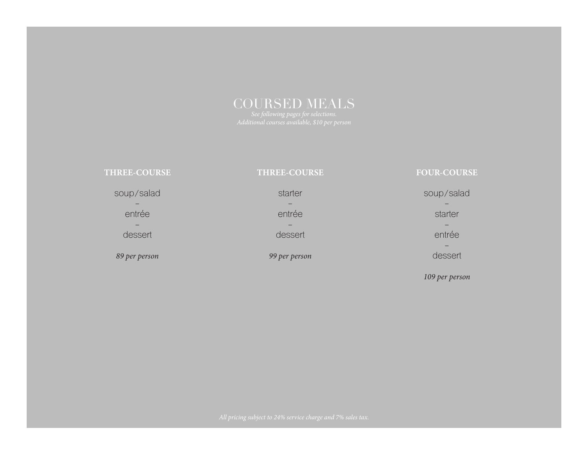# COURSED MEALS

| <b>THREE-COURSE</b> | <b>THREE-COURSE</b> | <b>FOUR-COURSE</b> |
|---------------------|---------------------|--------------------|
| soup/salad          | starter             | soup/salad         |
| entrée              | entrée              | starter            |
|                     |                     |                    |
| dessert             | dessert             | entrée             |
|                     |                     |                    |
| 89 per person       | 99 per person       | dessert            |
|                     |                     |                    |

*109 per person*